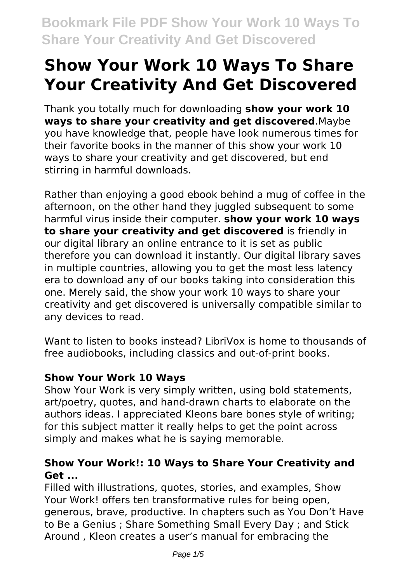# **Show Your Work 10 Ways To Share Your Creativity And Get Discovered**

Thank you totally much for downloading **show your work 10 ways to share your creativity and get discovered**.Maybe you have knowledge that, people have look numerous times for their favorite books in the manner of this show your work 10 ways to share your creativity and get discovered, but end stirring in harmful downloads.

Rather than enjoying a good ebook behind a mug of coffee in the afternoon, on the other hand they juggled subsequent to some harmful virus inside their computer. **show your work 10 ways to share your creativity and get discovered** is friendly in our digital library an online entrance to it is set as public therefore you can download it instantly. Our digital library saves in multiple countries, allowing you to get the most less latency era to download any of our books taking into consideration this one. Merely said, the show your work 10 ways to share your creativity and get discovered is universally compatible similar to any devices to read.

Want to listen to books instead? LibriVox is home to thousands of free audiobooks, including classics and out-of-print books.

# **Show Your Work 10 Ways**

Show Your Work is very simply written, using bold statements, art/poetry, quotes, and hand-drawn charts to elaborate on the authors ideas. I appreciated Kleons bare bones style of writing; for this subject matter it really helps to get the point across simply and makes what he is saying memorable.

#### **Show Your Work!: 10 Ways to Share Your Creativity and Get ...**

Filled with illustrations, quotes, stories, and examples, Show Your Work! offers ten transformative rules for being open, generous, brave, productive. In chapters such as You Don't Have to Be a Genius ; Share Something Small Every Day ; and Stick Around , Kleon creates a user's manual for embracing the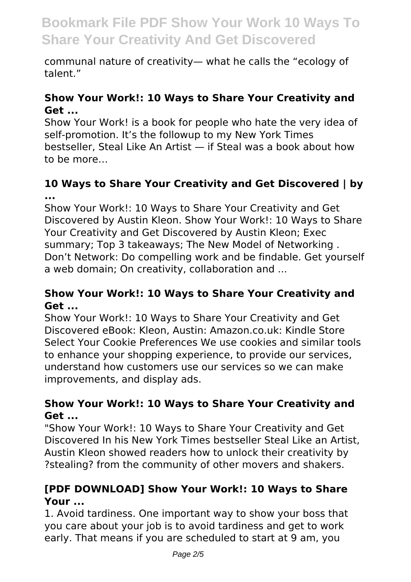communal nature of creativity— what he calls the "ecology of talent."

#### **Show Your Work!: 10 Ways to Share Your Creativity and Get ...**

Show Your Work! is a book for people who hate the very idea of self-promotion. It's the followup to my New York Times bestseller, Steal Like An Artist — if Steal was a book about how to be more…

### **10 Ways to Share Your Creativity and Get Discovered | by ...**

Show Your Work!: 10 Ways to Share Your Creativity and Get Discovered by Austin Kleon. Show Your Work!: 10 Ways to Share Your Creativity and Get Discovered by Austin Kleon; Exec summary; Top 3 takeaways; The New Model of Networking . Don't Network: Do compelling work and be findable. Get yourself a web domain; On creativity, collaboration and ...

#### **Show Your Work!: 10 Ways to Share Your Creativity and Get ...**

Show Your Work!: 10 Ways to Share Your Creativity and Get Discovered eBook: Kleon, Austin: Amazon.co.uk: Kindle Store Select Your Cookie Preferences We use cookies and similar tools to enhance your shopping experience, to provide our services, understand how customers use our services so we can make improvements, and display ads.

#### **Show Your Work!: 10 Ways to Share Your Creativity and Get ...**

"Show Your Work!: 10 Ways to Share Your Creativity and Get Discovered In his New York Times bestseller Steal Like an Artist, Austin Kleon showed readers how to unlock their creativity by ?stealing? from the community of other movers and shakers.

# **[PDF DOWNLOAD] Show Your Work!: 10 Ways to Share Your ...**

1. Avoid tardiness. One important way to show your boss that you care about your job is to avoid tardiness and get to work early. That means if you are scheduled to start at 9 am, you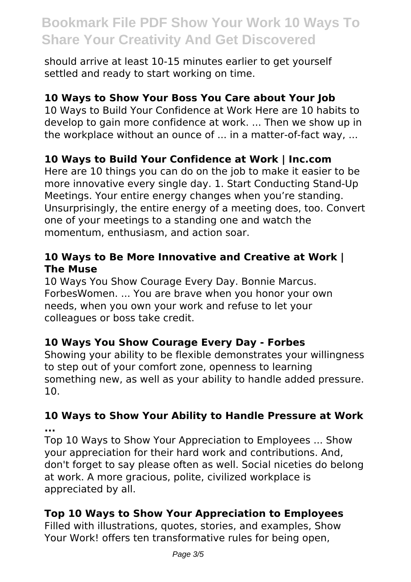should arrive at least 10-15 minutes earlier to get yourself settled and ready to start working on time.

### **10 Ways to Show Your Boss You Care about Your Job**

10 Ways to Build Your Confidence at Work Here are 10 habits to develop to gain more confidence at work. ... Then we show up in the workplace without an ounce of ... in a matter-of-fact way, ...

#### **10 Ways to Build Your Confidence at Work | Inc.com**

Here are 10 things you can do on the job to make it easier to be more innovative every single day. 1. Start Conducting Stand-Up Meetings. Your entire energy changes when you're standing. Unsurprisingly, the entire energy of a meeting does, too. Convert one of your meetings to a standing one and watch the momentum, enthusiasm, and action soar.

#### **10 Ways to Be More Innovative and Creative at Work | The Muse**

10 Ways You Show Courage Every Day. Bonnie Marcus. ForbesWomen. ... You are brave when you honor your own needs, when you own your work and refuse to let your colleagues or boss take credit.

# **10 Ways You Show Courage Every Day - Forbes**

Showing your ability to be flexible demonstrates your willingness to step out of your comfort zone, openness to learning something new, as well as your ability to handle added pressure. 10.

#### **10 Ways to Show Your Ability to Handle Pressure at Work ...**

Top 10 Ways to Show Your Appreciation to Employees ... Show your appreciation for their hard work and contributions. And, don't forget to say please often as well. Social niceties do belong at work. A more gracious, polite, civilized workplace is appreciated by all.

#### **Top 10 Ways to Show Your Appreciation to Employees**

Filled with illustrations, quotes, stories, and examples, Show Your Work! offers ten transformative rules for being open,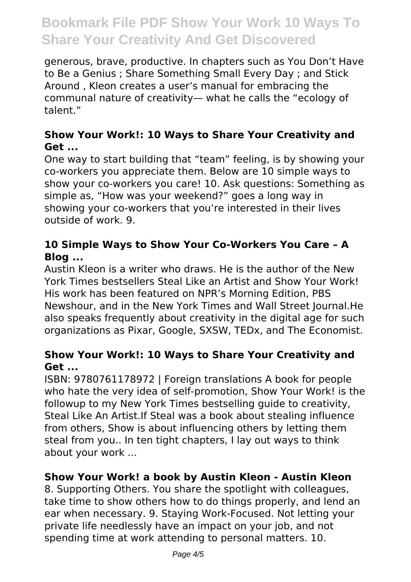generous, brave, productive. In chapters such as You Don't Have to Be a Genius ; Share Something Small Every Day ; and Stick Around , Kleon creates a user's manual for embracing the communal nature of creativity— what he calls the "ecology of talent."

#### **Show Your Work!: 10 Ways to Share Your Creativity and Get ...**

One way to start building that "team" feeling, is by showing your co-workers you appreciate them. Below are 10 simple ways to show your co-workers you care! 10. Ask questions: Something as simple as, "How was your weekend?" goes a long way in showing your co-workers that you're interested in their lives outside of work. 9.

#### **10 Simple Ways to Show Your Co-Workers You Care – A Blog ...**

Austin Kleon is a writer who draws. He is the author of the New York Times bestsellers Steal Like an Artist and Show Your Work! His work has been featured on NPR's Morning Edition, PBS Newshour, and in the New York Times and Wall Street Journal.He also speaks frequently about creativity in the digital age for such organizations as Pixar, Google, SXSW, TEDx, and The Economist.

#### **Show Your Work!: 10 Ways to Share Your Creativity and Get ...**

ISBN: 9780761178972 | Foreign translations A book for people who hate the very idea of self-promotion, Show Your Work! is the followup to my New York Times bestselling guide to creativity, Steal Like An Artist.If Steal was a book about stealing influence from others, Show is about influencing others by letting them steal from you.. In ten tight chapters, I lay out ways to think about your work ...

# **Show Your Work! a book by Austin Kleon - Austin Kleon**

8. Supporting Others. You share the spotlight with colleagues, take time to show others how to do things properly, and lend an ear when necessary. 9. Staying Work-Focused. Not letting your private life needlessly have an impact on your job, and not spending time at work attending to personal matters. 10.